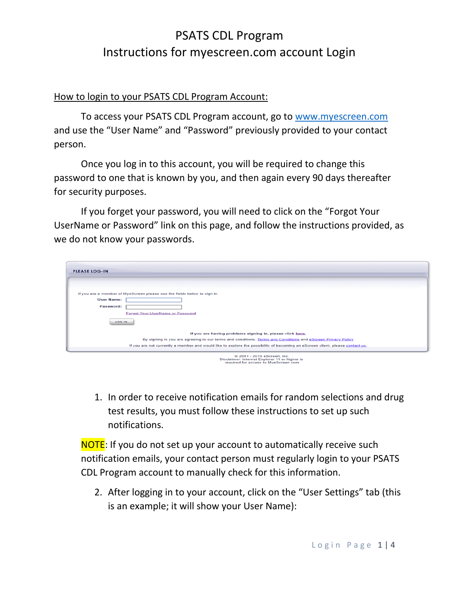#### How to login to your PSATS CDL Program Account:

To access your PSATS CDL Program account, go to [www.myescreen.com](http://www.myescreen.com/) and use the "User Name" and "Password" previously provided to your contact person.

Once you log in to this account, you will be required to change this password to one that is known by you, and then again every 90 days thereafter for security purposes.

If you forget your password, you will need to click on the "Forgot Your UserName or Password" link on this page, and follow the instructions provided, as we do not know your passwords.

| <b>PLEASE LOG-IN</b> |                                                                                                                               |
|----------------------|-------------------------------------------------------------------------------------------------------------------------------|
|                      |                                                                                                                               |
|                      |                                                                                                                               |
|                      | If you are a member of MyeScreen please use the fields below to sign in.                                                      |
| <b>User Name:</b>    |                                                                                                                               |
| Password:            |                                                                                                                               |
|                      | <b>Forgot Your UserName or Password</b>                                                                                       |
| LOG IN               |                                                                                                                               |
|                      | If you are having problems signing in, please click here.                                                                     |
|                      | By signing in you are agreeing to our terms and conditions. Terms and Conditions and eScreen Privacy Policy                   |
|                      | If you are not currently a member and would like to explore the possibility of becoming an eScreen client, please contact us, |
|                      | © 2001 - 2015 eScreen, Inc.<br>Disclaimer: Internet Explorer 11 or higher is<br>required for access to MyeScreen.com          |

1. In order to receive notification emails for random selections and drug test results, you must follow these instructions to set up such notifications.

NOTE: If you do not set up your account to automatically receive such notification emails, your contact person must regularly login to your PSATS CDL Program account to manually check for this information.

2. After logging in to your account, click on the "User Settings" tab (this is an example; it will show your User Name):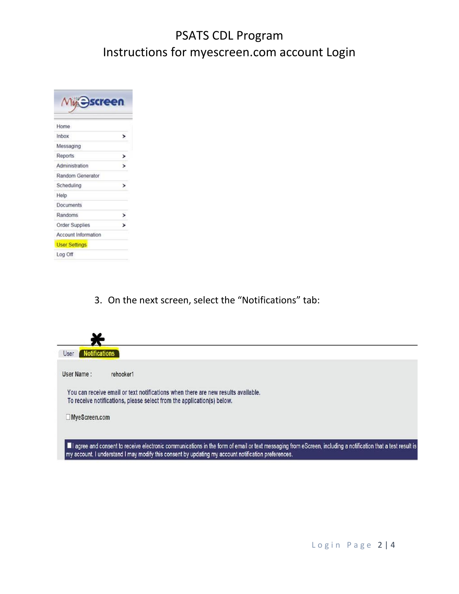| Home.                 |   |
|-----------------------|---|
| Inbox                 | ⋟ |
| Messaging             |   |
| Reports               | ⋗ |
| Administration        | 5 |
| Random Generator      |   |
| Scheduling            | > |
| Help                  |   |
| Documents             |   |
| Randoms               |   |
| <b>Order Supplies</b> |   |
| Account Information   |   |
| <b>User Settings</b>  |   |
| Log Off               |   |

3. On the next screen, select the "Notifications" tab:

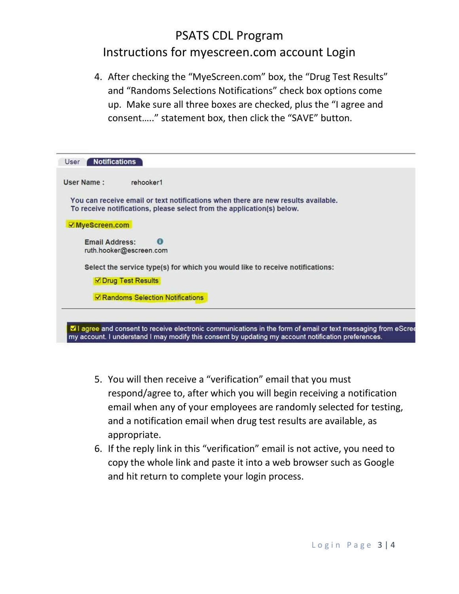4. After checking the "MyeScreen.com" box, the "Drug Test Results" and "Randoms Selections Notifications" check box options come up. Make sure all three boxes are checked, plus the "I agree and consent….." statement box, then click the "SAVE" button.

| User                  | <b>Notifications</b>                                                                                                                                                                                               |
|-----------------------|--------------------------------------------------------------------------------------------------------------------------------------------------------------------------------------------------------------------|
| <b>User Name:</b>     | rehooker1                                                                                                                                                                                                          |
|                       | You can receive email or text notifications when there are new results available.<br>To receive notifications, please select from the application(s) below.                                                        |
| MyeScreen.com         |                                                                                                                                                                                                                    |
| <b>Email Address:</b> | $\bigcirc$<br>ruth.hooker@escreen.com                                                                                                                                                                              |
|                       | Select the service type(s) for which you would like to receive notifications:                                                                                                                                      |
|                       | Drug Test Results                                                                                                                                                                                                  |
|                       | <b>√ Randoms Selection Notifications</b>                                                                                                                                                                           |
|                       |                                                                                                                                                                                                                    |
|                       | I agree and consent to receive electronic communications in the form of email or text messaging from eScree<br>my account. I understand I may modify this consent by updating my account notification preferences. |

- 5. You will then receive a "verification" email that you must respond/agree to, after which you will begin receiving a notification email when any of your employees are randomly selected for testing, and a notification email when drug test results are available, as appropriate.
- 6. If the reply link in this "verification" email is not active, you need to copy the whole link and paste it into a web browser such as Google and hit return to complete your login process.